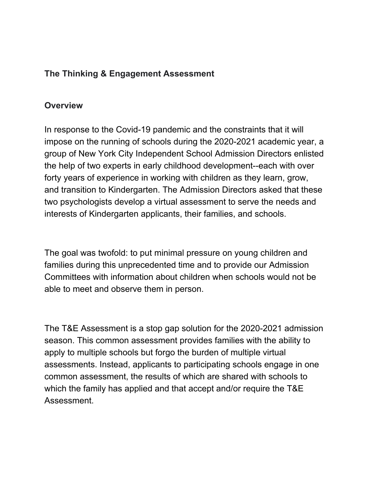#### **The Thinking & Engagement Assessment**

#### **Overview**

In response to the Covid-19 pandemic and the constraints that it will impose on the running of schools during the 2020-2021 academic year, a group of New York City Independent School Admission Directors enlisted the help of two experts in early childhood development--each with over forty years of experience in working with children as they learn, grow, and transition to Kindergarten. The Admission Directors asked that these two psychologists develop a virtual assessment to serve the needs and interests of Kindergarten applicants, their families, and schools.

The goal was twofold: to put minimal pressure on young children and families during this unprecedented time and to provide our Admission Committees with information about children when schools would not be able to meet and observe them in person.

The T&E Assessment is a stop gap solution for the 2020-2021 admission season. This common assessment provides families with the ability to apply to multiple schools but forgo the burden of multiple virtual assessments. Instead, applicants to participating schools engage in one common assessment, the results of which are shared with schools to which the family has applied and that accept and/or require the T&E Assessment.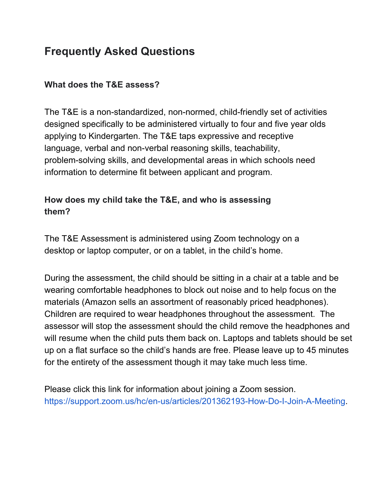# **Frequently Asked Questions**

### **What does the T&E assess?**

The T&E is a non-standardized, non-normed, child-friendly set of activities designed specifically to be administered virtually to four and five year olds applying to Kindergarten. The T&E taps expressive and receptive language, verbal and non-verbal reasoning skills, teachability, problem-solving skills, and developmental areas in which schools need information to determine fit between applicant and program.

## **How does my child take the T&E, and who is assessing them?**

The T&E Assessment is administered using Zoom technology on a desktop or laptop computer, or on a tablet, in the child's home.

During the assessment, the child should be sitting in a chair at a table and be wearing comfortable headphones to block out noise and to help focus on the materials (Amazon sells an assortment of reasonably priced headphones). Children are required to wear headphones throughout the assessment. The assessor will stop the assessment should the child remove the headphones and will resume when the child puts them back on. Laptops and tablets should be set up on a flat surface so the child's hands are free. Please leave up to 45 minutes for the entirety of the assessment though it may take much less time.

Please click this link for information about joining a Zoom session. https://support.zoom.us/hc/en-us/articles/201362193-How-Do-I-Join-A-Meeting.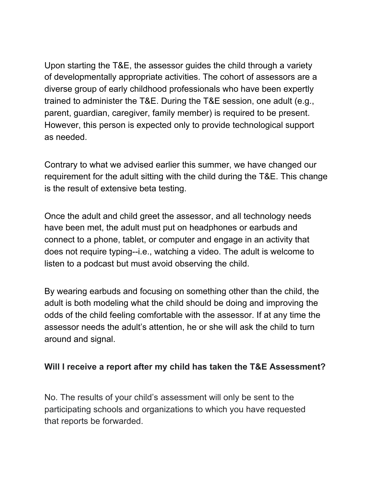Upon starting the T&E, the assessor guides the child through a variety of developmentally appropriate activities. The cohort of assessors are a diverse group of early childhood professionals who have been expertly trained to administer the T&E. During the T&E session, one adult (e.g., parent, guardian, caregiver, family member) is required to be present. However, this person is expected only to provide technological support as needed.

Contrary to what we advised earlier this summer, we have changed our requirement for the adult sitting with the child during the T&E. This change is the result of extensive beta testing.

Once the adult and child greet the assessor, and all technology needs have been met, the adult must put on headphones or earbuds and connect to a phone, tablet, or computer and engage in an activity that does not require typing--i.e., watching a video. The adult is welcome to listen to a podcast but must avoid observing the child.

By wearing earbuds and focusing on something other than the child, the adult is both modeling what the child should be doing and improving the odds of the child feeling comfortable with the assessor. If at any time the assessor needs the adult's attention, he or she will ask the child to turn around and signal.

#### **Will I receive a report after my child has taken the T&E Assessment?**

No. The results of your child's assessment will only be sent to the participating schools and organizations to which you have requested that reports be forwarded.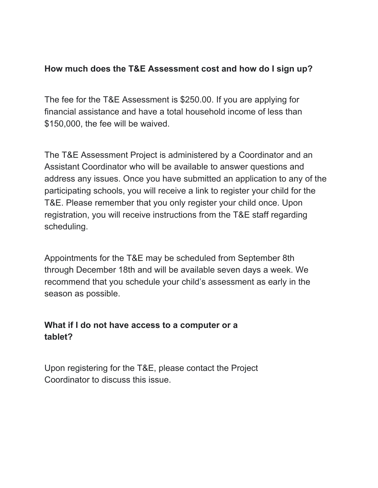#### **How much does the T&E Assessment cost and how do I sign up?**

The fee for the T&E Assessment is \$250.00. If you are applying for financial assistance and have a total household income of less than \$150,000, the fee will be waived.

The T&E Assessment Project is administered by a Coordinator and an Assistant Coordinator who will be available to answer questions and address any issues. Once you have submitted an application to any of the participating schools, you will receive a link to register your child for the T&E. Please remember that you only register your child once. Upon registration, you will receive instructions from the T&E staff regarding scheduling.

Appointments for the T&E may be scheduled from September 8th through December 18th and will be available seven days a week. We recommend that you schedule your child's assessment as early in the season as possible.

#### **What if I do not have access to a computer or a tablet?**

Upon registering for the T&E, please contact the Project Coordinator to discuss this issue.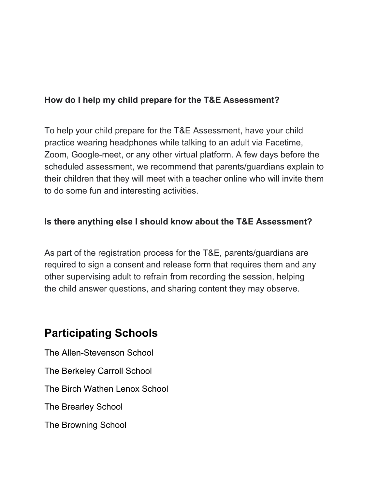#### **How do I help my child prepare for the T&E Assessment?**

To help your child prepare for the T&E Assessment, have your child practice wearing headphones while talking to an adult via Facetime, Zoom, Google-meet, or any other virtual platform. A few days before the scheduled assessment, we recommend that parents/guardians explain to their children that they will meet with a teacher online who will invite them to do some fun and interesting activities.

#### **Is there anything else I should know about the T&E Assessment?**

As part of the registration process for the T&E, parents/guardians are required to sign a consent and release form that requires them and any other supervising adult to refrain from recording the session, helping the child answer questions, and sharing content they may observe.

# **Participating Schools**

The Allen-Stevenson School The Berkeley Carroll School The Birch Wathen Lenox School The Brearley School The Browning School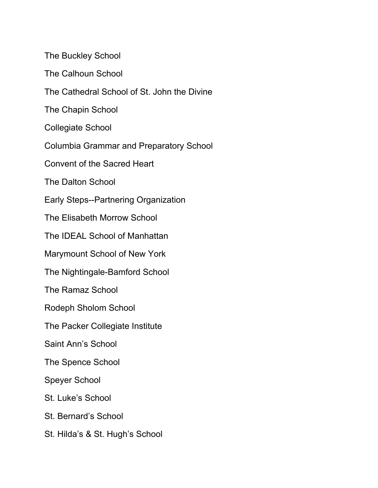The Buckley School

The Calhoun School

The Cathedral School of St. John the Divine

The Chapin School

Collegiate School

Columbia Grammar and Preparatory School

Convent of the Sacred Heart

The Dalton School

Early Steps--Partnering Organization

The Elisabeth Morrow School

The IDEAL School of Manhattan

Marymount School of New York

The Nightingale-Bamford School

The Ramaz School

Rodeph Sholom School

The Packer Collegiate Institute

Saint Ann's School

The Spence School

Speyer School

St. Luke's School

St. Bernard's School

St. Hilda's & St. Hugh's School